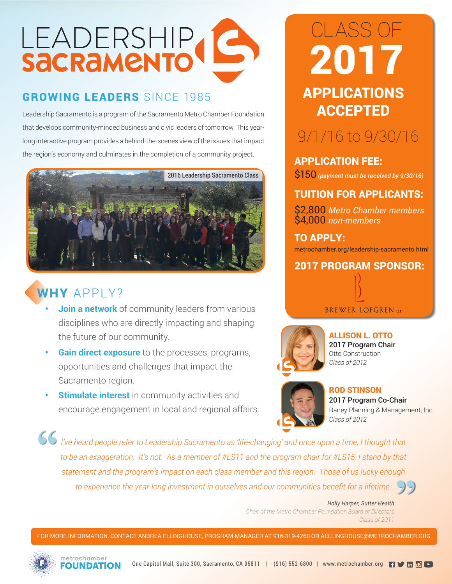# LEADERSHIP

## GROWING LEADERS SINCE 1985 **APPLICATIONS**

Leadership Sacramento is a program of the Sacramento Metro Chamber Foundation that develops community-minded business and civic leaders of tomorrow. This yearlong interactive program provides a behind-the-scenes view of the issues that impact the region's economy and culminates in the completion of a community project.



### WHY APPLY?

- **Join a network** of community leaders from various disciplines who are directly impacting and shaping the future of our community.
- **• Gain direct exposure** to the processes, programs, opportunities and challenges that impact the Sacramento region.
- **Stimulate interest** in community activities and encourage engagement in local and regional affairs.

# ACCEPTED CLASS OF 2017

# 9/1/16 to 9/30/16

APPLICATION FEE: \$150 *(payment must be received by 9/30/16)* 

#### TUITION FOR APPLICANTS:

\$2,800 *Metro Chamber members* \$4,000 *non-members*

#### TO APPLY: metrochamber.org/leadership-sacramento.html

2017 PROGRAM SPONSOR:





ALLISON L. OTTO 2017 Program Chair Otto Construction



ROD STINSON 2017 Program Co-Chair Raney Planning & Management, Inc. *Class of 2012*

*I've heard people refer to Leadership Sacramento as 'life-changing' and once upon a time, I thought that to be an exaggeration. It's not. As a member of #LS11 and the program chair for #LS15, I stand by that statement and the program's impact on each class member and this region. Those of us lucky enough*  **"** *to experience the year-long investment in ourselves and our communities benefit for a lifetime.*  **"**

> *Holly Harper, Sutter Health Chair of the Metro Chamber Foundation Board of Directors Class of 2011*

FOR MORE INFORMATION, CONTACT ANDREA ELLINGHOUSE, PROGRAM MANAGER AT 916-319-4260 OR AELLINGHOUSE@METROCHAMBER.ORG



metrechamber